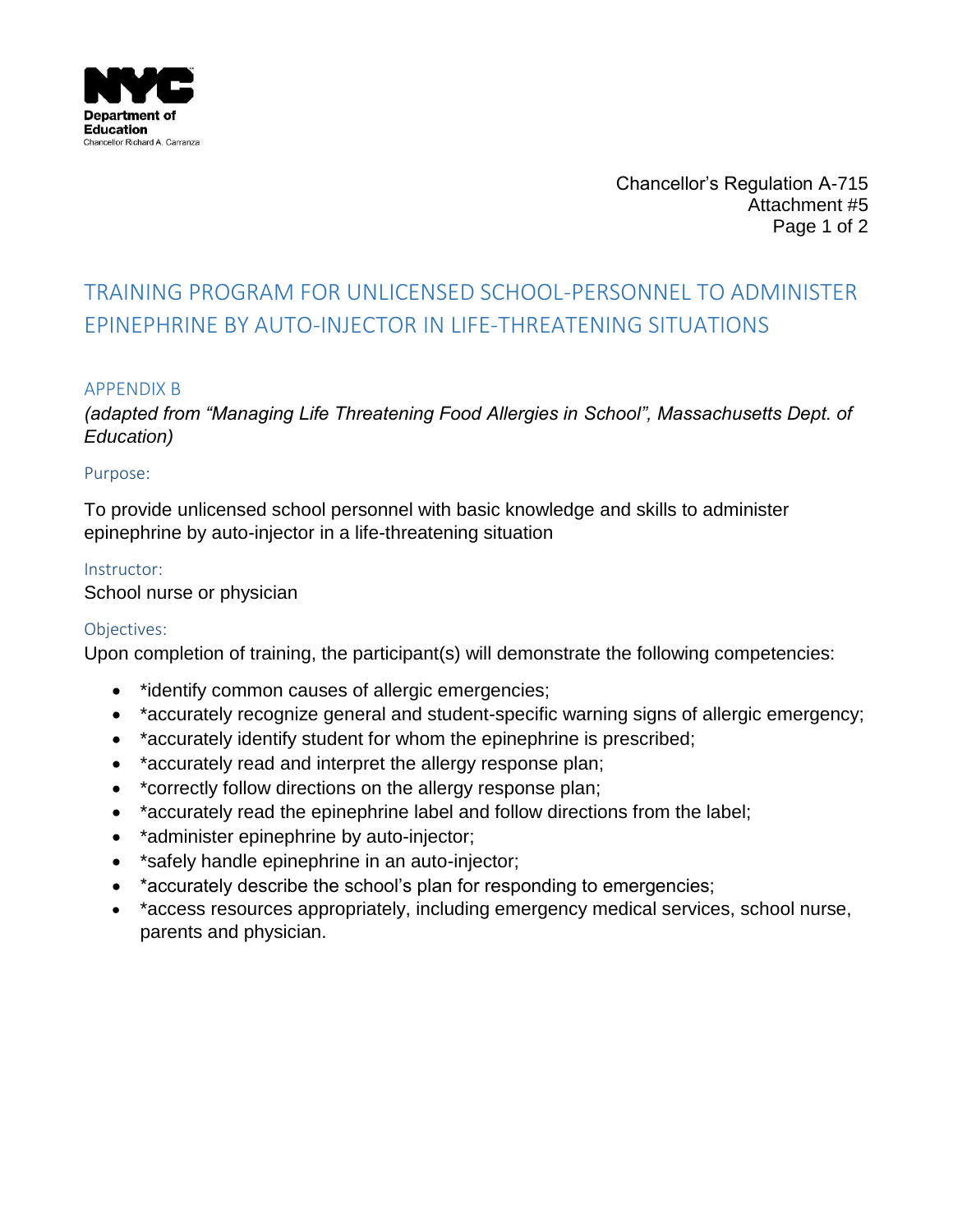

Chancellor's Regulation A-715 Attachment #5 Page 1 of 2

# TRAINING PROGRAM FOR UNLICENSED SCHOOL-PERSONNEL TO ADMINISTER EPINEPHRINE BY AUTO-INJECTOR IN LIFE-THREATENING SITUATIONS

### APPENDIX B

*(adapted from "Managing Life Threatening Food Allergies in School", Massachusetts Dept. of Education)*

#### Purpose:

To provide unlicensed school personnel with basic knowledge and skills to administer epinephrine by auto-injector in a life-threatening situation

### Instructor:

School nurse or physician

### Objectives:

Upon completion of training, the participant(s) will demonstrate the following competencies:

- \*identify common causes of allergic emergencies;
- \*accurately recognize general and student-specific warning signs of allergic emergency;
- \*accurately identify student for whom the epinephrine is prescribed;
- \*accurately read and interpret the allergy response plan;
- \* correctly follow directions on the allergy response plan;
- \*accurately read the epinephrine label and follow directions from the label;
- \*administer epinephrine by auto-injector;
- \*safely handle epinephrine in an auto-injector;
- \*accurately describe the school's plan for responding to emergencies;
- \*access resources appropriately, including emergency medical services, school nurse, parents and physician.